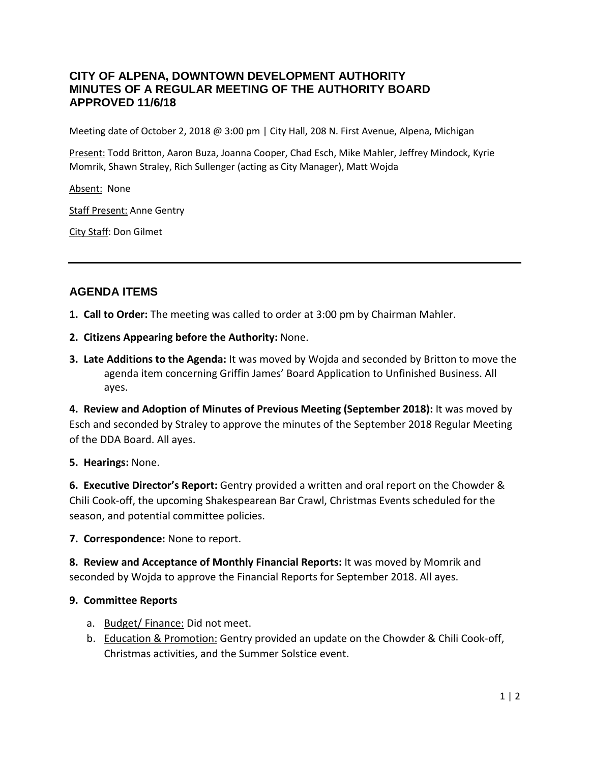## **CITY OF ALPENA, DOWNTOWN DEVELOPMENT AUTHORITY MINUTES OF A REGULAR MEETING OF THE AUTHORITY BOARD APPROVED 11/6/18**

Meeting date of October 2, 2018 @ 3:00 pm | City Hall, 208 N. First Avenue, Alpena, Michigan

Present: Todd Britton, Aaron Buza, Joanna Cooper, Chad Esch, Mike Mahler, Jeffrey Mindock, Kyrie Momrik, Shawn Straley, Rich Sullenger (acting as City Manager), Matt Wojda

Absent: None

Staff Present: Anne Gentry

City Staff: Don Gilmet

# **AGENDA ITEMS**

- **1. Call to Order:** The meeting was called to order at 3:00 pm by Chairman Mahler.
- **2. Citizens Appearing before the Authority:** None.
- **3. Late Additions to the Agenda:** It was moved by Wojda and seconded by Britton to move the agenda item concerning Griffin James' Board Application to Unfinished Business. All ayes.

**4. Review and Adoption of Minutes of Previous Meeting (September 2018):** It was moved by Esch and seconded by Straley to approve the minutes of the September 2018 Regular Meeting of the DDA Board. All ayes.

#### **5. Hearings:** None.

**6. Executive Director's Report:** Gentry provided a written and oral report on the Chowder & Chili Cook-off, the upcoming Shakespearean Bar Crawl, Christmas Events scheduled for the season, and potential committee policies.

**7. Correspondence:** None to report.

**8. Review and Acceptance of Monthly Financial Reports:** It was moved by Momrik and seconded by Wojda to approve the Financial Reports for September 2018. All ayes.

### **9. Committee Reports**

- a. Budget/ Finance: Did not meet.
- b. Education & Promotion: Gentry provided an update on the Chowder & Chili Cook-off, Christmas activities, and the Summer Solstice event.